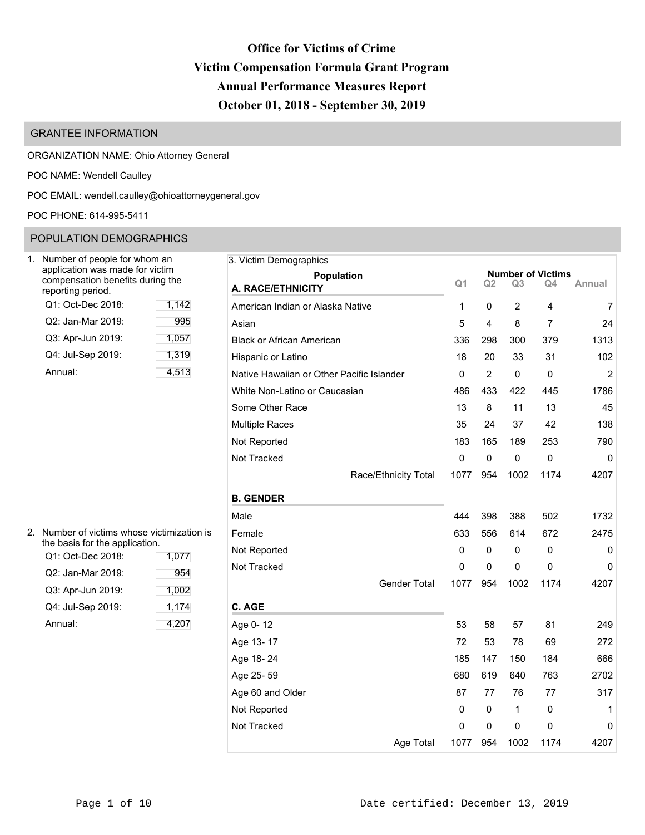# **Office for Victims of Crime Victim Compensation Formula Grant Program Annual Performance Measures Report October 01, 2018 - September 30, 2019**

# GRANTEE INFORMATION

ORGANIZATION NAME: Ohio Attorney General

POC NAME: Wendell Caulley

POC EMAIL: [wendell.caulley@ohioattorneygeneral.gov](mailto:wendell.caulley@ohioattorneygeneral.gov)

POC PHONE: 614-995-5411

# POPULATION DEMOGRAPHICS

| Number of people for whom an<br>application was made for victim<br>compensation benefits during the<br>reporting period. |       |
|--------------------------------------------------------------------------------------------------------------------------|-------|
| Q1: Oct-Dec 2018:                                                                                                        | 1,142 |
| Q2: Jan-Mar 2019:                                                                                                        | 995   |
| Q3: Apr-Jun 2019:                                                                                                        | 1,057 |
| Q4: Jul-Sep 2019:                                                                                                        | 1,319 |
| Annual:                                                                                                                  | 4,513 |

| 2. Number of victims whose victimization is<br>the basis for the application. |         | Female   |
|-------------------------------------------------------------------------------|---------|----------|
| Q1: Oct-Dec 2018:                                                             | Not Rep |          |
| Q2: Jan-Mar 2019:                                                             | 954     | Not Trac |
| Q3: Apr-Jun 2019:                                                             | 1,002   |          |
| Q4: Jul-Sep 2019:                                                             | 1,174   | C. AGE   |
| Annual:                                                                       | 4.207   | Age 0-1  |

| Number of people for whom an                                                            |       | 3. Victim Demographics                    |                |                |                |                                |                |
|-----------------------------------------------------------------------------------------|-------|-------------------------------------------|----------------|----------------|----------------|--------------------------------|----------------|
| application was made for victim<br>compensation benefits during the<br>eporting period. |       | <b>Population</b><br>A. RACE/ETHNICITY    | Q <sub>1</sub> | Q <sub>2</sub> | Q <sub>3</sub> | <b>Number of Victims</b><br>Q4 | Annual         |
| Q1: Oct-Dec 2018:                                                                       | 1,142 | American Indian or Alaska Native          | 1              | 0              | $\overline{2}$ | 4                              | $\overline{7}$ |
| Q2: Jan-Mar 2019:                                                                       | 995   | Asian                                     | 5              | 4              | 8              | 7                              | 24             |
| Q3: Apr-Jun 2019:                                                                       | 1,057 | <b>Black or African American</b>          | 336            | 298            | 300            | 379                            | 1313           |
| Q4: Jul-Sep 2019:                                                                       | 1,319 | Hispanic or Latino                        | 18             | 20             | 33             | 31                             | 102            |
| Annual:                                                                                 | 4,513 | Native Hawaiian or Other Pacific Islander | 0              | $\overline{2}$ | 0              | 0                              | $\overline{2}$ |
|                                                                                         |       | White Non-Latino or Caucasian             | 486            | 433            | 422            | 445                            | 1786           |
|                                                                                         |       | Some Other Race                           | 13             | 8              | 11             | 13                             | 45             |
|                                                                                         |       | <b>Multiple Races</b>                     | 35             | 24             | 37             | 42                             | 138            |
|                                                                                         |       | Not Reported                              | 183            | 165            | 189            | 253                            | 790            |
|                                                                                         |       | Not Tracked                               | $\mathbf 0$    | 0              | $\mathbf 0$    | $\pmb{0}$                      | 0              |
|                                                                                         |       | Race/Ethnicity Total                      | 1077           | 954            | 1002           | 1174                           | 4207           |
|                                                                                         |       | <b>B. GENDER</b>                          |                |                |                |                                |                |
|                                                                                         |       | Male                                      | 444            | 398            | 388            | 502                            | 1732           |
| Number of victims whose victimization is                                                |       | Female                                    | 633            | 556            | 614            | 672                            | 2475           |
| he basis for the application.<br>Q1: Oct-Dec 2018:                                      | 1,077 | Not Reported                              | $\Omega$       | 0              | 0              | 0                              | 0              |
| Q2: Jan-Mar 2019:                                                                       | 954   | Not Tracked                               | 0              | 0              | 0              | 0                              | 0              |
| Q3: Apr-Jun 2019:                                                                       | 1,002 | <b>Gender Total</b>                       | 1077           | 954            | 1002           | 1174                           | 4207           |
| Q4: Jul-Sep 2019:                                                                       | 1,174 | C. AGE                                    |                |                |                |                                |                |
| Annual:                                                                                 | 4,207 | Age 0-12                                  | 53             | 58             | 57             | 81                             | 249            |
|                                                                                         |       | Age 13-17                                 | 72             | 53             | 78             | 69                             | 272            |
|                                                                                         |       | Age 18-24                                 | 185            | 147            | 150            | 184                            | 666            |
|                                                                                         |       | Age 25-59                                 | 680            | 619            | 640            | 763                            | 2702           |
|                                                                                         |       | Age 60 and Older                          | 87             | 77             | 76             | 77                             | 317            |
|                                                                                         |       | Not Reported                              | $\Omega$       | 0              | 1              | 0                              | 1              |
|                                                                                         |       | Not Tracked                               | $\mathbf 0$    | 0              | 0              | 0                              | 0              |
|                                                                                         |       | Age Total                                 | 1077           | 954            | 1002           | 1174                           | 4207           |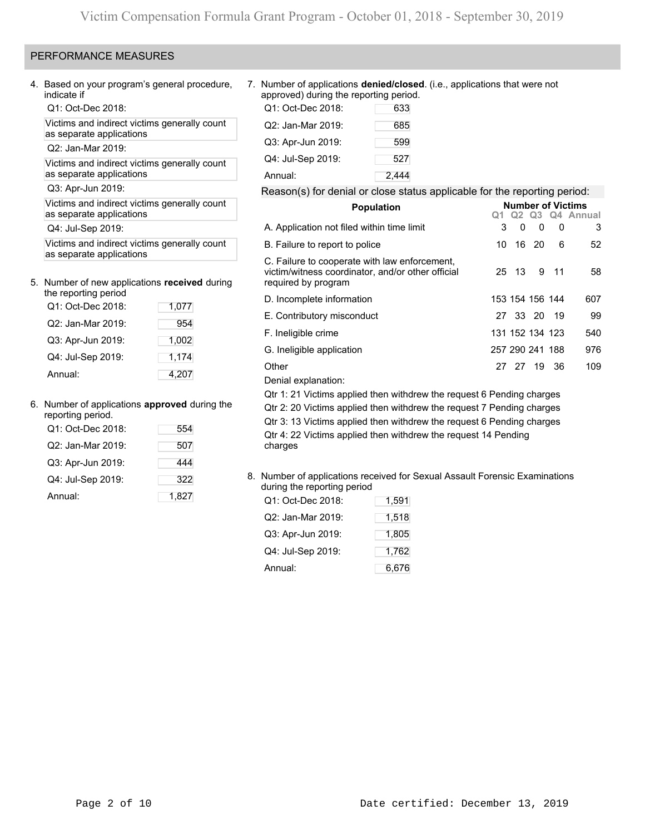# PERFORMANCE MEASURES

4. Based on your program's general procedure, indicate if

Q1: Oct-Dec 2018:

Victims and indirect victims generally count as separate applications

Q2: Jan-Mar 2019:

Victims and indirect victims generally count as separate applications

Q3: Apr-Jun 2019:

Victims and indirect victims generally count as separate applications

Q4: Jul-Sep 2019:

Victims and indirect victims generally count as separate applications

### 5. Number of new applications **received** during the reporting period

| TIE TEDOLITIJ DELIOU |       |
|----------------------|-------|
| Q1: Oct-Dec 2018:    | 1,077 |
| Q2: Jan-Mar 2019:    | 954   |
| Q3: Apr-Jun 2019:    | 1,002 |
| Q4: Jul-Sep 2019:    | 1,174 |
| Annual:              | 4,207 |

### 6. Number of applications **approved** during the

| reporting period. |       |
|-------------------|-------|
| Q1: Oct-Dec 2018: | 554   |
| Q2: Jan-Mar 2019: | 507   |
| Q3: Apr-Jun 2019: | 444   |
| Q4: Jul-Sep 2019: | 322   |
| Annual:           | 1,827 |

### 7. Number of applications **denied/closed**. (i.e., applications that were not approved) during the reporting period.

| Q1: Oct-Dec 2018: | 633   |
|-------------------|-------|
| Q2: Jan-Mar 2019: | 685   |
| Q3: Apr-Jun 2019: | 599   |
| Q4: Jul-Sep 2019: | 527   |
| Annual:           | 2,444 |

### Reason(s) for denial or close status applicable for the reporting period:

| <b>Population</b>                                                                                                         | <b>Number of Victims</b> |       |                 |      |                    |  |  |  |  |
|---------------------------------------------------------------------------------------------------------------------------|--------------------------|-------|-----------------|------|--------------------|--|--|--|--|
|                                                                                                                           |                          |       |                 |      | Q1 Q2 Q3 Q4 Annual |  |  |  |  |
| A. Application not filed within time limit                                                                                | 3                        | 0     | 0               | 0    | 3                  |  |  |  |  |
| B. Failure to report to police                                                                                            | 10                       |       | 16 20           | 6    | 52                 |  |  |  |  |
| C. Failure to cooperate with law enforcement,<br>victim/witness coordinator, and/or other official<br>required by program |                          | 25 13 |                 | 9 11 | 58                 |  |  |  |  |
| D. Incomplete information                                                                                                 |                          |       | 153 154 156 144 |      | 607                |  |  |  |  |
| E. Contributory misconduct                                                                                                |                          |       | 27 33 20 19     |      | 99                 |  |  |  |  |
| F. Ineligible crime                                                                                                       |                          |       | 131 152 134 123 |      | 540                |  |  |  |  |
| G. Ineligible application                                                                                                 |                          |       | 257 290 241 188 |      | 976                |  |  |  |  |
| Other                                                                                                                     |                          |       | 27 27 19 36     |      | 109                |  |  |  |  |
| Denial explanation:                                                                                                       |                          |       |                 |      |                    |  |  |  |  |
| $Q$ tr 1: 21 Victime annlied then withdrow the request 6 Pending charges                                                  |                          |       |                 |      |                    |  |  |  |  |

Qtr 1: 21 Victims applied then withdrew the request 6 Pending charges Qtr 2: 20 Victims applied then withdrew the request 7 Pending charges Qtr 3: 13 Victims applied then withdrew the request 6 Pending charges Qtr 4: 22 Victims applied then withdrew the request 14 Pending charges

# 8. Number of applications received for Sexual Assault Forensic Examinations during the reporting period

| Q1: Oct-Dec 2018: | 1,591 |
|-------------------|-------|
| Q2: Jan-Mar 2019: | 1,518 |
| Q3: Apr-Jun 2019: | 1,805 |
| Q4: Jul-Sep 2019: | 1,762 |
| Annual:           | 6,676 |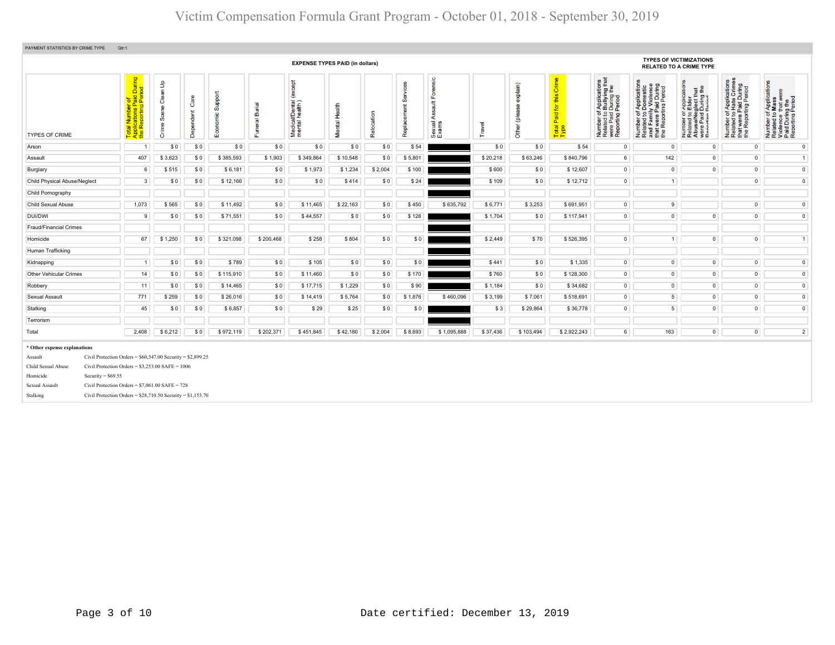| PAYMENT STATISTICS BY CRIME TYPE                                                                                               | Qtr:1                                                                                                                                                                                                                                   |                                                            |                   |             |                            |                                        |               |            |                       |                                      |          |                                    |                                                                  |                                                                                                                                        |                                                                                                                       |                                                                                                                                                          |                                                                                                                   |                                                                                                                                                                       |
|--------------------------------------------------------------------------------------------------------------------------------|-----------------------------------------------------------------------------------------------------------------------------------------------------------------------------------------------------------------------------------------|------------------------------------------------------------|-------------------|-------------|----------------------------|----------------------------------------|---------------|------------|-----------------------|--------------------------------------|----------|------------------------------------|------------------------------------------------------------------|----------------------------------------------------------------------------------------------------------------------------------------|-----------------------------------------------------------------------------------------------------------------------|----------------------------------------------------------------------------------------------------------------------------------------------------------|-------------------------------------------------------------------------------------------------------------------|-----------------------------------------------------------------------------------------------------------------------------------------------------------------------|
|                                                                                                                                |                                                                                                                                                                                                                                         |                                                            |                   |             |                            | <b>EXPENSE TYPES PAID (in dollars)</b> |               |            |                       |                                      |          |                                    |                                                                  |                                                                                                                                        |                                                                                                                       | <b>TYPES OF VICTIMIZATIONS</b><br><b>RELATED TO A CRIME TYPE</b>                                                                                         |                                                                                                                   |                                                                                                                                                                       |
| <b>TYPES OF CRIME</b>                                                                                                          | During<br>iod<br>ial Number of<br>plications Paid L<br>· Reporting Peric<br>Total<br>Applic<br>the R                                                                                                                                    | $\mathbf{e}$<br>듦<br>පී<br>ழ<br>Ŏ,<br>$\mathbf{\Phi}$<br>ŏ | Care<br>Dependent | ᅙ<br>ത<br>ш | <b>Burial</b><br>eral<br>Ě | <b>bept</b><br>Medical/Dental          | Mental Health | Relocation | Ø<br>ment<br>Replacer | $\circ$<br>兰<br>⋖<br>Sexual<br>Exams | Travel   | <b>xplain</b> )<br>ő<br>ĕ<br>Other | Crim<br>this<br>$\overline{\mathbf{p}}$<br>Paid<br>Total<br>Type | f Applications<br>b Bullying that<br>I During the<br>Period<br>Number of <i>I</i><br>Related to <b>I</b><br>were Paid L<br>Reporting P | Number of Applications<br>Related to Domestic<br>and Family Violence<br>that were Paid During<br>the Reporting Period | <b>glect that</b><br>During the<br>Period<br>Appli<br>Elde<br>Paid<br><b>Paid</b><br>Paid<br>Paid<br>Number<br>Related<br>Abuse/N<br>Were Pa<br>Reportin | ications<br>Crimes<br>t were Paid During<br>Reporting Period<br>Appli<br>Hate<br>59<br>Number<br>Related<br>the i | f Applications<br>Mass<br>ಾ<br>ber of Appli<br>ted to Mass<br>ance that w<br>During Perioc<br>pring Perioc<br>Number<br>Related t<br>Violence<br>Paid Dur<br>Reportin |
| Arson                                                                                                                          | -1                                                                                                                                                                                                                                      | \$0                                                        | \$0               | \$0         | \$0                        | \$0                                    | \$0           | \$0        | \$54                  |                                      | \$0      | \$0                                | \$54                                                             | $\circ$                                                                                                                                | $\circ$                                                                                                               | $\circ$                                                                                                                                                  | $\overline{0}$                                                                                                    | $\overline{0}$                                                                                                                                                        |
| Assault                                                                                                                        | 407                                                                                                                                                                                                                                     | \$3,623                                                    | \$0               | \$385,593   | \$1,903                    | \$349,864                              | \$10,548      | \$0        | \$5,801               |                                      | \$20,218 | \$63,246                           | \$840,796                                                        | 6 <sup>1</sup>                                                                                                                         | 142                                                                                                                   | $\circ$                                                                                                                                                  | $\overline{0}$                                                                                                    | 1                                                                                                                                                                     |
| Burglary                                                                                                                       | 6                                                                                                                                                                                                                                       | \$515                                                      | \$0               | \$6,181     | \$0                        | \$1,973                                | \$1,234       | \$2,004    | \$100                 |                                      | \$600    | \$0                                | \$12,607                                                         | $\circ$                                                                                                                                | $^{\circ}$                                                                                                            | $\mathbf 0$                                                                                                                                              | $\mathbf 0$                                                                                                       | $\mathsf 0$                                                                                                                                                           |
| Child Physical Abuse/Neglect                                                                                                   | 3                                                                                                                                                                                                                                       | \$0                                                        | \$0               | \$12,166    | \$0                        | \$0                                    | \$414         | \$0        | \$24                  |                                      | \$109    | \$0                                | \$12,712                                                         | $\circ$                                                                                                                                | $\overline{1}$                                                                                                        |                                                                                                                                                          | $\mathbf 0$                                                                                                       | $\mathbf 0$                                                                                                                                                           |
| Child Pornography                                                                                                              |                                                                                                                                                                                                                                         |                                                            |                   |             |                            |                                        |               |            |                       |                                      |          |                                    |                                                                  |                                                                                                                                        |                                                                                                                       |                                                                                                                                                          |                                                                                                                   |                                                                                                                                                                       |
| Child Sexual Abuse                                                                                                             | 1,073                                                                                                                                                                                                                                   | \$565                                                      | \$0               | \$11,492    | \$0                        | \$11,465                               | \$22,163      | \$0        | \$450                 | \$635,792                            | \$6,771  | \$3,253                            | \$691,951                                                        | $\circ$                                                                                                                                | 9                                                                                                                     |                                                                                                                                                          | $\mathbf 0$                                                                                                       | $\mathbf{0}$                                                                                                                                                          |
| <b>DUI/DWI</b>                                                                                                                 | 9                                                                                                                                                                                                                                       | \$0                                                        | \$0               | \$71,551    | \$0                        | \$44,557                               | \$0           | \$0        | \$128                 |                                      | \$1,704  | \$0                                | \$117,941                                                        | $\circ$                                                                                                                                | $\mathbf 0$                                                                                                           | $\mathbf 0$                                                                                                                                              | $\mathbf 0$                                                                                                       | $\circ$                                                                                                                                                               |
| Fraud/Financial Crimes                                                                                                         |                                                                                                                                                                                                                                         |                                                            |                   |             |                            |                                        |               |            |                       |                                      |          |                                    |                                                                  |                                                                                                                                        |                                                                                                                       |                                                                                                                                                          |                                                                                                                   |                                                                                                                                                                       |
| Homicide                                                                                                                       | 67                                                                                                                                                                                                                                      | \$1,250                                                    | \$0               | \$321,098   | \$200,468                  | \$258                                  | \$804         | \$0        | \$0                   |                                      | \$2,449  | \$70                               | \$526,395                                                        | $\circ$                                                                                                                                | 1 <sup>1</sup>                                                                                                        | $\mathbf 0$                                                                                                                                              | $\mathbf 0$                                                                                                       | 1                                                                                                                                                                     |
| Human Trafficking                                                                                                              |                                                                                                                                                                                                                                         |                                                            |                   |             |                            |                                        |               |            |                       |                                      |          |                                    |                                                                  |                                                                                                                                        |                                                                                                                       |                                                                                                                                                          |                                                                                                                   |                                                                                                                                                                       |
| Kidnapping                                                                                                                     | $\mathbf{1}$                                                                                                                                                                                                                            | \$0                                                        | \$0               | \$789       | \$0                        | \$105                                  | \$0           | \$0        | \$0                   |                                      | \$441    | \$0                                | \$1,335                                                          | $\circ$                                                                                                                                | $\mathbf 0$                                                                                                           | $\mathsf 0$                                                                                                                                              | $\mathbf{0}$                                                                                                      | $\mathbf 0$                                                                                                                                                           |
| Other Vehicular Crimes                                                                                                         | 14                                                                                                                                                                                                                                      | \$0                                                        | \$0               | \$115,910   | \$0                        | \$11,460                               | \$0           | \$0        | \$170                 |                                      | \$760    | \$0                                | \$128,300                                                        | $\overline{0}$                                                                                                                         | $\circ$                                                                                                               | $\circ$                                                                                                                                                  | $\mathsf 0$                                                                                                       | $\mathsf 0$                                                                                                                                                           |
| Robbery                                                                                                                        | 11                                                                                                                                                                                                                                      | \$0                                                        | \$0               | \$14,465    | \$0                        | \$17,715                               | \$1,229       | \$0        | \$90                  |                                      | \$1,184  | \$0                                | \$34,682                                                         | $\circ$                                                                                                                                | $\mathbf 0$                                                                                                           | $\circ$                                                                                                                                                  | $\circ$                                                                                                           | $\overline{0}$                                                                                                                                                        |
| Sexual Assault                                                                                                                 | 771                                                                                                                                                                                                                                     | \$259                                                      | \$0               | \$26,016    | \$0                        | \$14,419                               | \$5,764       | \$0        | \$1,876               | \$460,096                            | \$3,199  | \$7,061                            | \$518,691                                                        | $\overline{0}$                                                                                                                         | $\sqrt{5}$                                                                                                            | $\circ$                                                                                                                                                  | $\mathbf{0}$                                                                                                      | $\overline{0}$                                                                                                                                                        |
| Stalking                                                                                                                       | 45                                                                                                                                                                                                                                      | \$0                                                        | \$0               | \$6,857     | \$0                        | \$29                                   | \$25          | \$0        | \$0                   |                                      | \$3      | \$29,864                           | \$36,778                                                         | $\circ$                                                                                                                                | $\overline{5}$                                                                                                        | $\mathsf 0$                                                                                                                                              | $\mathsf 0$                                                                                                       | $\mathsf 0$                                                                                                                                                           |
| Terrorism                                                                                                                      |                                                                                                                                                                                                                                         |                                                            |                   |             |                            |                                        |               |            |                       |                                      |          |                                    |                                                                  |                                                                                                                                        |                                                                                                                       |                                                                                                                                                          |                                                                                                                   |                                                                                                                                                                       |
| Total                                                                                                                          | 2,408                                                                                                                                                                                                                                   | \$6,212                                                    | \$0               | \$972,119   | \$202,371                  | \$451,845                              | \$42,180      | \$2,004    | \$8,693               | \$1,095,888                          | \$37,436 | \$103,494                          | \$2,922,243                                                      | 6                                                                                                                                      | 163                                                                                                                   | $\mathsf 0$                                                                                                                                              | $\overline{0}$                                                                                                    | $\overline{2}$                                                                                                                                                        |
| * Other expense explanations<br>Assault<br>Child Sexual Abuse<br>Security = $$69.55$<br>Homicide<br>Sexual Assault<br>Stalking | Civil Protection Orders = $$60,347.00$ Security = $$2,899.25$<br>Civil Protection Orders = $$3,253.00$ SAFE = 1006<br>Civil Protection Orders = $$7,061.00$ SAFE = 728<br>Civil Protection Orders = $$28,710.50$ Security = $$1,153.70$ |                                                            |                   |             |                            |                                        |               |            |                       |                                      |          |                                    |                                                                  |                                                                                                                                        |                                                                                                                       |                                                                                                                                                          |                                                                                                                   |                                                                                                                                                                       |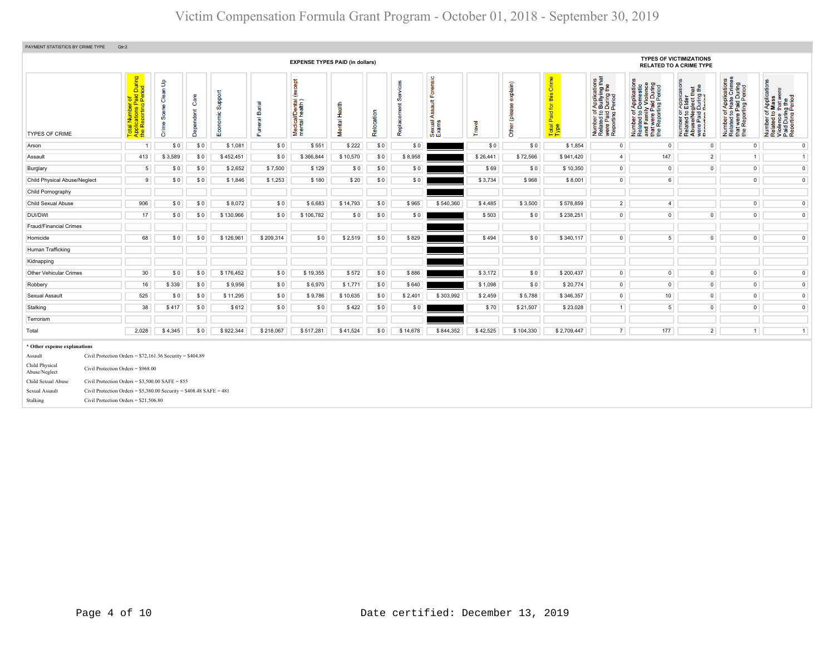| PAYMENT STATISTICS BY CRIME TYPE | Qtr:2                                                                   |                                               |                   |                     |                          |                                              |               |            |          |                                               |          |                              |                                                                       |                                                                                                                     |                                                                                                                                                             |                                                                                                                                                                                               |                                                                                                                           |                                                                                                                                                          |
|----------------------------------|-------------------------------------------------------------------------|-----------------------------------------------|-------------------|---------------------|--------------------------|----------------------------------------------|---------------|------------|----------|-----------------------------------------------|----------|------------------------------|-----------------------------------------------------------------------|---------------------------------------------------------------------------------------------------------------------|-------------------------------------------------------------------------------------------------------------------------------------------------------------|-----------------------------------------------------------------------------------------------------------------------------------------------------------------------------------------------|---------------------------------------------------------------------------------------------------------------------------|----------------------------------------------------------------------------------------------------------------------------------------------------------|
|                                  |                                                                         |                                               |                   |                     |                          | <b>EXPENSE TYPES PAID (in dollars)</b>       |               |            |          |                                               |          |                              |                                                                       |                                                                                                                     |                                                                                                                                                             | <b>TYPES OF VICTIMIZATIONS</b><br><b>RELATED TO A CRIME TYPE</b>                                                                                                                              |                                                                                                                           |                                                                                                                                                          |
| <b>TYPES OF CRIME</b>            | Total Number of<br>Applications Paid During<br>the Reporting Period     | an Up<br><u>e</u><br>ဨႍ<br>Sœ<br>eq<br>E<br>δ | Care<br>Dependent | Support<br>Economic | <b>Burial</b><br>Funeral | except<br>Medical/Dental (<br>mental health) | Mental Health | Relocation | Replace  | orensic<br>Œ<br>青<br>₹<br>exual<br>xams<br>மை | Travel   | explain)<br>9<br>Other (plea | Crime<br>$\boldsymbol{\sigma}$<br>店<br>aid for<br>a.<br>Total<br>Type | f Applications<br>b Bullying that<br>Period<br>Period<br><b>below</b><br>Number<br>Related<br>were Pai<br>Reporting | f Application<br>Domestic<br>ly Violence<br>poi.<br>Number of Applica<br>Related to Domes<br>and Family Violer<br>that were Paid Dur<br>the Reporting Peric | ication<br>$\frac{1}{2}$<br>TApplica<br>b Elder<br>glect that<br>During t<br>Period<br>er or<br>ad to I<br>Paid<br>Paid<br>thin<br>Number c<br>Related t<br>Abuse/N<br>were Paic<br>Reporting | mber of Applications<br>lated to Hate Crimes<br>at were Paid During<br>» Reporting Period<br>Number<br>Related<br>te<br>E | cations<br>f Application<br><b>Mass</b><br>that were<br>Number of Applica<br>Related to Mass<br>Violence that wer<br>Paid During the<br>Reporting Period |
| Arson                            | $\mathbf{1}$                                                            | \$0                                           | \$0               | \$1,081             | \$0                      | \$551                                        | \$222         | \$0        | \$0      |                                               | \$0      | \$0                          | \$1,854                                                               | $\overline{0}$                                                                                                      | $\mathbf{0}$                                                                                                                                                | $\circ$                                                                                                                                                                                       | $\overline{0}$                                                                                                            | $\overline{0}$                                                                                                                                           |
| Assault                          | 413                                                                     | \$3,589                                       | \$0               | \$452,451           | \$0                      | \$366,844                                    | \$10,570      | \$0        | \$8,958  |                                               | \$26,441 | \$72,566                     | \$941,420                                                             | $\overline{4}$                                                                                                      | 147                                                                                                                                                         | $\overline{2}$                                                                                                                                                                                | 1                                                                                                                         | $\overline{1}$                                                                                                                                           |
| Burglary                         | $5\phantom{.0}$                                                         | \$0                                           | \$0               | \$2,652             | \$7,500                  | \$129                                        | \$0           | \$0        | \$0      |                                               | \$69     | \$0                          | \$10,350                                                              | $\circ$                                                                                                             | $\overline{0}$                                                                                                                                              | $\circ$                                                                                                                                                                                       | $\overline{0}$                                                                                                            | $\mathsf 0$                                                                                                                                              |
| Child Physical Abuse/Neglect     | 9                                                                       | \$0                                           | \$0               | \$1,846             | \$1,253                  | \$180                                        | \$20          | \$0        | \$0      |                                               | \$3,734  | \$968                        | \$8,001                                                               | $\overline{0}$                                                                                                      | 6                                                                                                                                                           |                                                                                                                                                                                               | $\overline{0}$                                                                                                            | $\overline{0}$                                                                                                                                           |
| Child Pornography                |                                                                         |                                               |                   |                     |                          |                                              |               |            |          |                                               |          |                              |                                                                       |                                                                                                                     |                                                                                                                                                             |                                                                                                                                                                                               |                                                                                                                           |                                                                                                                                                          |
| Child Sexual Abuse               | 906                                                                     | \$0                                           | \$0               | \$8,072             | \$0                      | \$6,683                                      | \$14,793      | \$0        | \$965    | \$540,360                                     | \$4,485  | \$3,500                      | \$578,859                                                             | 2                                                                                                                   | $\overline{4}$                                                                                                                                              |                                                                                                                                                                                               | $\overline{0}$                                                                                                            | $\overline{0}$                                                                                                                                           |
| DUI/DWI                          | 17                                                                      | \$0                                           | \$0               | \$130,966           | \$0                      | \$106,782                                    | \$0           | \$0        | \$0      |                                               | \$503    | \$0                          | \$238,251                                                             | $\overline{0}$                                                                                                      | $\overline{0}$                                                                                                                                              | $\circ$                                                                                                                                                                                       | $\circ$                                                                                                                   | $\overline{0}$                                                                                                                                           |
| Fraud/Financial Crimes           |                                                                         |                                               |                   |                     |                          |                                              |               |            |          |                                               |          |                              |                                                                       |                                                                                                                     |                                                                                                                                                             |                                                                                                                                                                                               |                                                                                                                           |                                                                                                                                                          |
| Homicide                         | 68                                                                      | \$0                                           | \$0               | \$126,961           | \$209,314                | \$0                                          | \$2,519       | \$0        | \$829    |                                               | \$494    | \$0                          | \$340,117                                                             | $\circ$                                                                                                             | 5                                                                                                                                                           | $\overline{0}$                                                                                                                                                                                | $\mathsf 0$                                                                                                               | $\mathsf 0$                                                                                                                                              |
| Human Trafficking                |                                                                         |                                               |                   |                     |                          |                                              |               |            |          |                                               |          |                              |                                                                       |                                                                                                                     |                                                                                                                                                             |                                                                                                                                                                                               |                                                                                                                           |                                                                                                                                                          |
| Kidnapping                       |                                                                         |                                               |                   |                     |                          |                                              |               |            |          |                                               |          |                              |                                                                       |                                                                                                                     |                                                                                                                                                             |                                                                                                                                                                                               |                                                                                                                           |                                                                                                                                                          |
| Other Vehicular Crimes           | 30                                                                      | \$0                                           | \$0               | \$176,452           | \$0                      | \$19,355                                     | \$572         | \$0        | \$886    |                                               | \$3,172  | \$0                          | \$200,437                                                             | $\circ$                                                                                                             | $\circ$                                                                                                                                                     | $\overline{0}$                                                                                                                                                                                | $\circ$                                                                                                                   | $\mathsf 0$                                                                                                                                              |
| Robbery                          | 16                                                                      | \$339                                         | \$0               | \$9,956             | \$0                      | \$6,970                                      | \$1,771       | \$0        | \$640    |                                               | \$1,098  | \$0                          | \$20,774                                                              | $\overline{0}$                                                                                                      | $\circ$                                                                                                                                                     | $\overline{0}$                                                                                                                                                                                | $\circ$                                                                                                                   | $\mathsf 0$                                                                                                                                              |
| Sexual Assault                   | 525                                                                     | \$0                                           | \$0               | \$11,295            | \$0                      | \$9,786                                      | \$10,635      | \$0        | \$2,401  | \$303,992                                     | \$2,459  | \$5,788                      | \$346,357                                                             | $\circ$                                                                                                             | 10 <sup>1</sup>                                                                                                                                             | $\circ$                                                                                                                                                                                       | $\circ$                                                                                                                   | $\circ$                                                                                                                                                  |
| Stalking                         | 38                                                                      | \$417                                         | \$0               | \$612               | \$0                      | \$0                                          | \$422         | \$0        | \$0      |                                               | \$70     | \$21,507                     | \$23,028                                                              | 1                                                                                                                   | 5 <sup>5</sup>                                                                                                                                              | $\circ$                                                                                                                                                                                       | $\circ$                                                                                                                   | $\mathbf 0$                                                                                                                                              |
| Terrorism                        |                                                                         |                                               |                   |                     |                          |                                              |               |            |          |                                               |          |                              |                                                                       |                                                                                                                     |                                                                                                                                                             |                                                                                                                                                                                               |                                                                                                                           |                                                                                                                                                          |
| Total                            | 2,028                                                                   | \$4,345                                       | \$0               | \$922,344           | \$218,067                | \$517,281                                    | \$41,524      | \$0        | \$14,678 | \$844,352                                     | \$42,525 | \$104,330                    | \$2,709,447                                                           | 7 <sup>1</sup>                                                                                                      | 177                                                                                                                                                         | $2^{\circ}$                                                                                                                                                                                   | 1                                                                                                                         | $\overline{1}$                                                                                                                                           |
| * Other expense explanations     |                                                                         |                                               |                   |                     |                          |                                              |               |            |          |                                               |          |                              |                                                                       |                                                                                                                     |                                                                                                                                                             |                                                                                                                                                                                               |                                                                                                                           |                                                                                                                                                          |
| Assault                          | Civil Protection Orders = $$72,161.36$ Security = $$404.89$             |                                               |                   |                     |                          |                                              |               |            |          |                                               |          |                              |                                                                       |                                                                                                                     |                                                                                                                                                             |                                                                                                                                                                                               |                                                                                                                           |                                                                                                                                                          |
| Child Physical<br>Abuse/Neglect  | Civil Protection Orders = \$968.00                                      |                                               |                   |                     |                          |                                              |               |            |          |                                               |          |                              |                                                                       |                                                                                                                     |                                                                                                                                                             |                                                                                                                                                                                               |                                                                                                                           |                                                                                                                                                          |
| Child Sexual Abuse               | Civil Protection Orders = $$3,500.00$ SAFE = $855$                      |                                               |                   |                     |                          |                                              |               |            |          |                                               |          |                              |                                                                       |                                                                                                                     |                                                                                                                                                             |                                                                                                                                                                                               |                                                                                                                           |                                                                                                                                                          |
| Sexual Assault                   | Civil Protection Orders = $$5,380.00$ Security = $$408.48$ SAFE = $481$ |                                               |                   |                     |                          |                                              |               |            |          |                                               |          |                              |                                                                       |                                                                                                                     |                                                                                                                                                             |                                                                                                                                                                                               |                                                                                                                           |                                                                                                                                                          |
| Stalking                         | Civil Protection Orders = $$21,506.80$                                  |                                               |                   |                     |                          |                                              |               |            |          |                                               |          |                              |                                                                       |                                                                                                                     |                                                                                                                                                             |                                                                                                                                                                                               |                                                                                                                           |                                                                                                                                                          |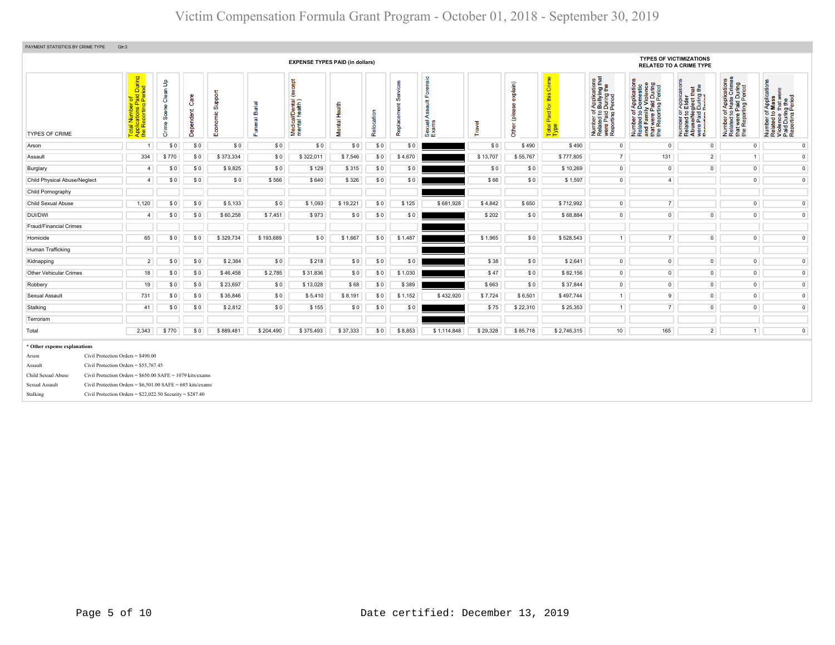| PAYMENT STATISTICS BY CRIME TYPE    | Qtr:3                                                                                                                                                                                                                                                                                                                                                                                                                                                                                                                                                                                                                                                                                                                                                                                                                                                                                                                                                                                                                                                                                                                                                                                                                                                                                                                                                                                                                                                                                                                                                                                                                                                                                                                                                                                                                                   |                |       |     |           |           |           |          |     |         |             |          |          |             |                 |                |                |                |                                                                                                        |
|-------------------------------------|-----------------------------------------------------------------------------------------------------------------------------------------------------------------------------------------------------------------------------------------------------------------------------------------------------------------------------------------------------------------------------------------------------------------------------------------------------------------------------------------------------------------------------------------------------------------------------------------------------------------------------------------------------------------------------------------------------------------------------------------------------------------------------------------------------------------------------------------------------------------------------------------------------------------------------------------------------------------------------------------------------------------------------------------------------------------------------------------------------------------------------------------------------------------------------------------------------------------------------------------------------------------------------------------------------------------------------------------------------------------------------------------------------------------------------------------------------------------------------------------------------------------------------------------------------------------------------------------------------------------------------------------------------------------------------------------------------------------------------------------------------------------------------------------------------------------------------------------|----------------|-------|-----|-----------|-----------|-----------|----------|-----|---------|-------------|----------|----------|-------------|-----------------|----------------|----------------|----------------|--------------------------------------------------------------------------------------------------------|
|                                     | <b>TYPES OF VICTIMIZATIONS</b><br><b>EXPENSE TYPES PAID (in dollars)</b><br><b>RELATED TO A CRIME TYPE</b><br>Total Number of<br>Applications Paid During<br>the Reporting Period<br>prensic<br>f Applications<br>b Bullying that<br>I During the<br>Period<br>Crime<br>except<br>f Applications<br>Hate Crimes<br>Paid During<br>ing Period<br>$\mathsf{B}^{\mathsf{c}}$<br>explain)<br>Number of Applications<br>Related to Domestic<br>and Family Violence<br>that were Paid During<br>the Reporting Period<br>뢉<br>$\frac{1}{\sqrt{2}}$<br>듦<br>Support<br>this<br>Paplica<br>Elder<br>glect th<br>During I<br>Period<br>ű<br>8 <sub>e</sub><br>Ō<br>වි<br>Medical/Dental (<br>mental health)<br>ssault<br>Burial<br>ting<br>Health<br>Replacement<br>Other (please<br>$\overline{\mathbf{p}}$<br>ၜႍ<br>Ĕ<br><b>6.9 mg</b><br>52<br>$\frac{1}{2}$<br>Relocation<br>Paid<br>Number 01<br>Related to E<br>Abuse/Neg<br>were Paid L<br>Renorting B<br>59<br>ပ<br>₹<br>€<br>ŏ<br>Funeral<br>Number<br>Related t<br>were Pai<br>Reportin<br>Number<br>Related<br>that were<br>the Repo<br><b>Mental</b><br>exual.<br>xams<br><b>Fravel</b><br>em<br>Total I<br>Depe<br>ā<br>⊞<br>ŏ<br>மியி<br>\$0<br>\$0<br>\$0<br>\$490<br>$\overline{0}$<br>\$0<br>\$0<br>\$0<br>\$0<br>\$0<br>\$0<br>\$490<br>$\mathbf 0$<br>$\circ$<br>$\overline{0}$<br>-1<br>7<br>334<br>\$13,707<br>131<br>$2^{\circ}$<br>1<br>\$770<br>\$0<br>\$373,334<br>\$0<br>\$322,011<br>\$7,546<br>\$0<br>\$4,670<br>\$55,767<br>\$777,805<br>\$0<br>\$0<br>$\circ$<br>$\circ$<br>\$0<br>\$0<br>\$9,825<br>\$0<br>\$129<br>\$315<br>\$0<br>\$10,269<br>$\overline{0}$<br>$\circ$<br>\$0<br>$\overline{a}$<br>$\overline{0}$<br>\$0<br>\$0<br>\$0<br>\$566<br>\$640<br>\$326<br>\$0<br>\$66<br>\$0<br>\$1,597<br>4 <sup>1</sup><br>$\overline{0}$<br>\$0<br>$\overline{4}$ |                |       |     |           |           |           |          |     |         |             |          |          |             |                 |                |                |                |                                                                                                        |
| TYPES OF CRIME                      |                                                                                                                                                                                                                                                                                                                                                                                                                                                                                                                                                                                                                                                                                                                                                                                                                                                                                                                                                                                                                                                                                                                                                                                                                                                                                                                                                                                                                                                                                                                                                                                                                                                                                                                                                                                                                                         |                |       |     |           |           |           |          |     |         |             |          |          |             |                 |                |                |                | Number of Applications<br>Related to Mass<br>Violence that were<br>Paid During the<br>Reporting Period |
| Arson                               |                                                                                                                                                                                                                                                                                                                                                                                                                                                                                                                                                                                                                                                                                                                                                                                                                                                                                                                                                                                                                                                                                                                                                                                                                                                                                                                                                                                                                                                                                                                                                                                                                                                                                                                                                                                                                                         |                |       |     |           |           |           |          |     |         |             |          |          |             |                 |                |                |                | $\overline{0}$                                                                                         |
| Assault                             |                                                                                                                                                                                                                                                                                                                                                                                                                                                                                                                                                                                                                                                                                                                                                                                                                                                                                                                                                                                                                                                                                                                                                                                                                                                                                                                                                                                                                                                                                                                                                                                                                                                                                                                                                                                                                                         |                |       |     |           |           |           |          |     |         |             |          |          |             |                 |                |                |                | $\circ$                                                                                                |
| Burglary                            |                                                                                                                                                                                                                                                                                                                                                                                                                                                                                                                                                                                                                                                                                                                                                                                                                                                                                                                                                                                                                                                                                                                                                                                                                                                                                                                                                                                                                                                                                                                                                                                                                                                                                                                                                                                                                                         |                |       |     |           |           |           |          |     |         |             |          |          |             |                 |                |                |                | $\overline{0}$                                                                                         |
| <b>Child Physical Abuse/Neglect</b> |                                                                                                                                                                                                                                                                                                                                                                                                                                                                                                                                                                                                                                                                                                                                                                                                                                                                                                                                                                                                                                                                                                                                                                                                                                                                                                                                                                                                                                                                                                                                                                                                                                                                                                                                                                                                                                         |                |       |     |           |           |           |          |     |         |             |          |          |             |                 |                |                |                | $\overline{0}$                                                                                         |
| Child Pornography                   |                                                                                                                                                                                                                                                                                                                                                                                                                                                                                                                                                                                                                                                                                                                                                                                                                                                                                                                                                                                                                                                                                                                                                                                                                                                                                                                                                                                                                                                                                                                                                                                                                                                                                                                                                                                                                                         |                |       |     |           |           |           |          |     |         |             |          |          |             |                 |                |                |                |                                                                                                        |
| Child Sexual Abuse                  | 1,120                                                                                                                                                                                                                                                                                                                                                                                                                                                                                                                                                                                                                                                                                                                                                                                                                                                                                                                                                                                                                                                                                                                                                                                                                                                                                                                                                                                                                                                                                                                                                                                                                                                                                                                                                                                                                                   |                | \$0   | \$0 | \$5,133   | \$0       | \$1,093   | \$19,221 | \$0 | \$125   | \$681,928   | \$4,842  | \$650    | \$712,992   | $\overline{0}$  | 7 <sup>1</sup> |                | $\circ$        | $\overline{0}$                                                                                         |
| <b>DUI/DWI</b>                      |                                                                                                                                                                                                                                                                                                                                                                                                                                                                                                                                                                                                                                                                                                                                                                                                                                                                                                                                                                                                                                                                                                                                                                                                                                                                                                                                                                                                                                                                                                                                                                                                                                                                                                                                                                                                                                         | $\overline{a}$ | \$0   | \$0 | \$60,258  | \$7,451   | \$973     | \$0      | \$0 | \$0     |             | \$202    | \$0      | \$68,884    | $\overline{0}$  | $\overline{0}$ | $\overline{0}$ | $\circ$        | $\overline{0}$                                                                                         |
| Fraud/Financial Crimes              |                                                                                                                                                                                                                                                                                                                                                                                                                                                                                                                                                                                                                                                                                                                                                                                                                                                                                                                                                                                                                                                                                                                                                                                                                                                                                                                                                                                                                                                                                                                                                                                                                                                                                                                                                                                                                                         |                |       |     |           |           |           |          |     |         |             |          |          |             |                 |                |                |                |                                                                                                        |
| Homicide                            |                                                                                                                                                                                                                                                                                                                                                                                                                                                                                                                                                                                                                                                                                                                                                                                                                                                                                                                                                                                                                                                                                                                                                                                                                                                                                                                                                                                                                                                                                                                                                                                                                                                                                                                                                                                                                                         | 65             | \$0   | \$0 | \$329,734 | \$193,689 | \$0       | \$1,667  | \$0 | \$1,487 |             | \$1,965  | \$0      | \$528,543   | 1               | 7 <sup>1</sup> | $\circ$        | $\circ$        | $\mathbf 0$                                                                                            |
| Human Trafficking                   |                                                                                                                                                                                                                                                                                                                                                                                                                                                                                                                                                                                                                                                                                                                                                                                                                                                                                                                                                                                                                                                                                                                                                                                                                                                                                                                                                                                                                                                                                                                                                                                                                                                                                                                                                                                                                                         |                |       |     |           |           |           |          |     |         |             |          |          |             |                 |                |                |                |                                                                                                        |
| Kidnapping                          |                                                                                                                                                                                                                                                                                                                                                                                                                                                                                                                                                                                                                                                                                                                                                                                                                                                                                                                                                                                                                                                                                                                                                                                                                                                                                                                                                                                                                                                                                                                                                                                                                                                                                                                                                                                                                                         | 2              | \$0   | \$0 | \$2,384   | \$0       | \$218     | \$0      | \$0 | \$0     |             | \$38     | \$0      | \$2,641     | $\circ$         | $\circ$        | $\circ$        | $\circ$        | $\circ$                                                                                                |
| <b>Other Vehicular Crimes</b>       |                                                                                                                                                                                                                                                                                                                                                                                                                                                                                                                                                                                                                                                                                                                                                                                                                                                                                                                                                                                                                                                                                                                                                                                                                                                                                                                                                                                                                                                                                                                                                                                                                                                                                                                                                                                                                                         | 18             | \$0   | \$0 | \$46,458  | \$2,785   | \$31,836  | \$0      | \$0 | \$1,030 |             | \$47     | \$0      | \$82,156    | $\overline{0}$  | $\circ$        | $\circ$        | $\circ$        | $\overline{0}$                                                                                         |
| Robbery                             |                                                                                                                                                                                                                                                                                                                                                                                                                                                                                                                                                                                                                                                                                                                                                                                                                                                                                                                                                                                                                                                                                                                                                                                                                                                                                                                                                                                                                                                                                                                                                                                                                                                                                                                                                                                                                                         | 19             | \$0   | \$0 | \$23,697  | \$0       | \$13,028  | \$68     | \$0 | \$389   |             | \$663    | \$0      | \$37,844    | $\mathsf 0$     | $\circ$        | $\circ$        | $\overline{0}$ | $\overline{\mathbf{0}}$                                                                                |
| Sexual Assault                      |                                                                                                                                                                                                                                                                                                                                                                                                                                                                                                                                                                                                                                                                                                                                                                                                                                                                                                                                                                                                                                                                                                                                                                                                                                                                                                                                                                                                                                                                                                                                                                                                                                                                                                                                                                                                                                         | 731            | \$0   | \$0 | \$35,846  | \$0       | \$5,410   | \$8,191  | \$0 | \$1,152 | \$432,920   | \$7,724  | \$6,501  | \$497,744   | 1               | 9              | $\circ$        | $\circ$        | $\overline{0}$                                                                                         |
| Stalking                            |                                                                                                                                                                                                                                                                                                                                                                                                                                                                                                                                                                                                                                                                                                                                                                                                                                                                                                                                                                                                                                                                                                                                                                                                                                                                                                                                                                                                                                                                                                                                                                                                                                                                                                                                                                                                                                         | 41             | \$0   | \$0 | \$2,812   | \$0       | \$155     | \$0      | \$0 | \$0     |             | \$75     | \$22,310 | \$25,353    | 1               | 7              | $\overline{0}$ | $\circ$        | $\overline{0}$                                                                                         |
| Terrorism                           |                                                                                                                                                                                                                                                                                                                                                                                                                                                                                                                                                                                                                                                                                                                                                                                                                                                                                                                                                                                                                                                                                                                                                                                                                                                                                                                                                                                                                                                                                                                                                                                                                                                                                                                                                                                                                                         |                |       |     |           |           |           |          |     |         |             |          |          |             |                 |                |                |                |                                                                                                        |
| Total                               | 2,343                                                                                                                                                                                                                                                                                                                                                                                                                                                                                                                                                                                                                                                                                                                                                                                                                                                                                                                                                                                                                                                                                                                                                                                                                                                                                                                                                                                                                                                                                                                                                                                                                                                                                                                                                                                                                                   |                | \$770 | \$0 | \$889,481 | \$204,490 | \$375,493 | \$37,333 | \$0 | \$8,853 | \$1,114,848 | \$29,328 | \$85,718 | \$2,746,315 | 10 <sup>1</sup> | 165            | $\overline{2}$ | 1              | $\circ$                                                                                                |
| * Other expense explanations        |                                                                                                                                                                                                                                                                                                                                                                                                                                                                                                                                                                                                                                                                                                                                                                                                                                                                                                                                                                                                                                                                                                                                                                                                                                                                                                                                                                                                                                                                                                                                                                                                                                                                                                                                                                                                                                         |                |       |     |           |           |           |          |     |         |             |          |          |             |                 |                |                |                |                                                                                                        |
| Arson                               | Civil Protection Orders = $$490.00$                                                                                                                                                                                                                                                                                                                                                                                                                                                                                                                                                                                                                                                                                                                                                                                                                                                                                                                                                                                                                                                                                                                                                                                                                                                                                                                                                                                                                                                                                                                                                                                                                                                                                                                                                                                                     |                |       |     |           |           |           |          |     |         |             |          |          |             |                 |                |                |                |                                                                                                        |
| Assault                             | Civil Protection Orders = \$55,767.45                                                                                                                                                                                                                                                                                                                                                                                                                                                                                                                                                                                                                                                                                                                                                                                                                                                                                                                                                                                                                                                                                                                                                                                                                                                                                                                                                                                                                                                                                                                                                                                                                                                                                                                                                                                                   |                |       |     |           |           |           |          |     |         |             |          |          |             |                 |                |                |                |                                                                                                        |
| Child Sexual Abuse                  | Civil Protection Orders = $$650.00$ SAFE = 1079 kits/exams                                                                                                                                                                                                                                                                                                                                                                                                                                                                                                                                                                                                                                                                                                                                                                                                                                                                                                                                                                                                                                                                                                                                                                                                                                                                                                                                                                                                                                                                                                                                                                                                                                                                                                                                                                              |                |       |     |           |           |           |          |     |         |             |          |          |             |                 |                |                |                |                                                                                                        |
| Sexual Assault<br>Stalking          | Civil Protection Orders = $$6,501.00$ SAFE = 685 kits/exams<br>Civil Protection Orders = $$22,022.50$ Security = $$287.40$                                                                                                                                                                                                                                                                                                                                                                                                                                                                                                                                                                                                                                                                                                                                                                                                                                                                                                                                                                                                                                                                                                                                                                                                                                                                                                                                                                                                                                                                                                                                                                                                                                                                                                              |                |       |     |           |           |           |          |     |         |             |          |          |             |                 |                |                |                |                                                                                                        |
|                                     |                                                                                                                                                                                                                                                                                                                                                                                                                                                                                                                                                                                                                                                                                                                                                                                                                                                                                                                                                                                                                                                                                                                                                                                                                                                                                                                                                                                                                                                                                                                                                                                                                                                                                                                                                                                                                                         |                |       |     |           |           |           |          |     |         |             |          |          |             |                 |                |                |                |                                                                                                        |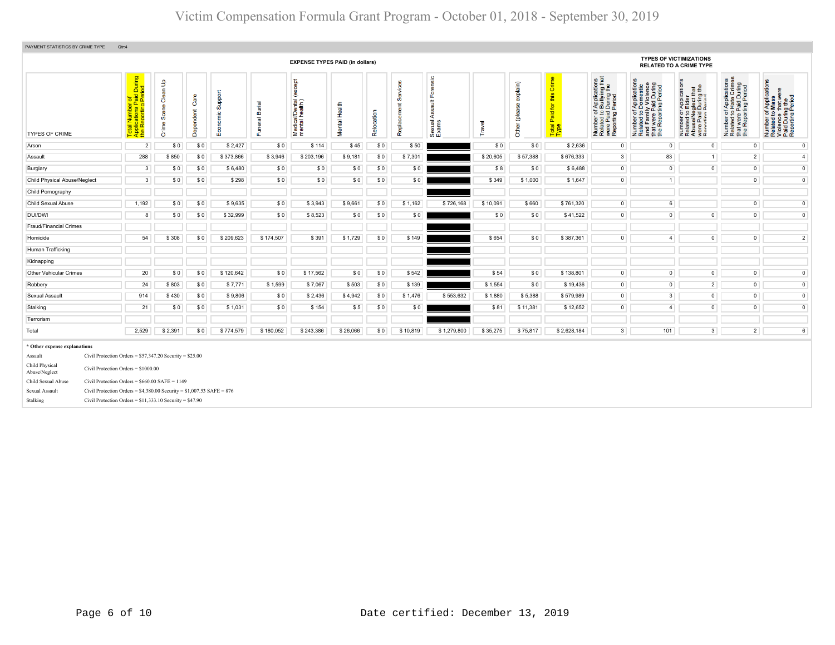| PAYMENT STATISTICS BY CRIME TYPE                                                                                               | Qtr:4                                                                                                                                                                                                                                                                                            |                                                                                                                                                                                                                                                                                                                                                                                                                                                                                                                                                                                                                                                                                                                                                                                                                                                                                                                                                                                                                                                                                                                                                                                                                                                                                                                                                                                                                                                                                                                                                                                                                                                                                                                                                                                                                                                                                                                                                                                                                                                                                                                                                                                                                                                                                                                                                                                                                                                                                                                                                                                                                                                                                                                                                                                                                                                                                                                                                                                                                                                                         |     |           |           |           |          |     |          |             |          |          |             |                |     |                |                |                 |
|--------------------------------------------------------------------------------------------------------------------------------|--------------------------------------------------------------------------------------------------------------------------------------------------------------------------------------------------------------------------------------------------------------------------------------------------|-------------------------------------------------------------------------------------------------------------------------------------------------------------------------------------------------------------------------------------------------------------------------------------------------------------------------------------------------------------------------------------------------------------------------------------------------------------------------------------------------------------------------------------------------------------------------------------------------------------------------------------------------------------------------------------------------------------------------------------------------------------------------------------------------------------------------------------------------------------------------------------------------------------------------------------------------------------------------------------------------------------------------------------------------------------------------------------------------------------------------------------------------------------------------------------------------------------------------------------------------------------------------------------------------------------------------------------------------------------------------------------------------------------------------------------------------------------------------------------------------------------------------------------------------------------------------------------------------------------------------------------------------------------------------------------------------------------------------------------------------------------------------------------------------------------------------------------------------------------------------------------------------------------------------------------------------------------------------------------------------------------------------------------------------------------------------------------------------------------------------------------------------------------------------------------------------------------------------------------------------------------------------------------------------------------------------------------------------------------------------------------------------------------------------------------------------------------------------------------------------------------------------------------------------------------------------------------------------------------------------------------------------------------------------------------------------------------------------------------------------------------------------------------------------------------------------------------------------------------------------------------------------------------------------------------------------------------------------------------------------------------------------------------------------------------------------|-----|-----------|-----------|-----------|----------|-----|----------|-------------|----------|----------|-------------|----------------|-----|----------------|----------------|-----------------|
|                                                                                                                                |                                                                                                                                                                                                                                                                                                  | <b>TYPES OF VICTIMIZATIONS</b><br><b>EXPENSE TYPES PAID (in dollars)</b><br><b>RELATED TO A CRIME TYPE</b><br>Forensic<br>Crime<br>rf Applications<br>b Bullying that<br>I During the<br>Period<br><b>cept</b><br>Applications<br>Hate Crimes<br>an Up<br>f Applications<br>• Mass<br>that were<br>explain)<br>During<br>Period<br>ication<br>estic<br>During<br>eriod<br>苊<br>€<br>Support<br>ě<br>this<br>of Applica<br>Domes<br>Ily Viole<br>Paid Du<br>ting Peri<br>≞<br>glect th<br>During<br>Period<br>Care<br>Number of Applica<br>Related to Mass<br>Violence that wer<br>Paid During the<br>Reporting Period<br>ခြံ<br>ting Pe<br>ഗ<br><b>Appli</b><br>Elde<br>Medical/Dental (<br>mental health)<br>ssault<br>$\overline{\sigma}$<br>Mental Health<br>Paid for<br>⊭<br>æ<br>₾<br>Ë<br>aa<br>ePa<br>Dependent<br>Number of <i>I</i><br>Related to <b>B</b><br>were Paid L<br>Reporting P<br>$5\overline{2}$<br>$\overline{5}$ $\overline{9}$<br>eeld)<br>Relocation<br>5 9 º<br><b>S</b><br>Economic<br>e/Neg<br>Paid<br>rtim<br>t were I<br>₹<br>Number<br>Related<br>and Fan<br>Number<br>Related<br>Funeral<br>∵wer<br>Rep<br>Number<br>Related<br>Abuse/N<br>were Pai<br>Recortin<br>Sexual<br>Exams<br><b>Travel</b><br>$\mathbf{\Phi}$<br>Other<br>Total<br>Type<br>Repl<br>and<br>the F<br>te<br>#<br>ö<br>$\overline{2}$<br>\$0<br>\$0<br>\$0<br>$\mathsf 0$<br>$\mathsf 0$<br>\$0<br>\$2,427<br>\$114<br>\$45<br>\$50<br>\$0<br>\$0<br>\$2,636<br>$\circ$<br>$\circ$<br>288<br>\$20,605<br>3 <sup>1</sup><br>83<br>\$850<br>\$0<br>\$373,866<br>\$3,946<br>\$203,196<br>\$9,181<br>\$0<br>\$7,301<br>\$57,388<br>\$676,333<br>1<br>$2^{\circ}$<br>$\overline{0}$<br>$\overline{3}$<br>\$0<br>\$6,480<br>\$0<br>\$0<br>\$0<br>\$8<br>\$0<br>\$6,488<br>$\circ$<br>$\mathsf 0$<br>$\mathsf 0$<br>\$0<br>\$0<br>\$0<br>\$0<br>\$0<br>$\circ$<br>$\mathsf{O}$<br>$\overline{\mathbf{3}}$<br>\$0<br>\$0<br>\$298<br>\$0<br>\$0<br>\$0<br>\$349<br>\$1,000<br>\$1,647<br>1<br>\$0<br>\$3,943<br>\$660<br>$\circ$<br>$6\phantom{1}$<br>$\circ$<br>\$0<br>\$0<br>\$9,635<br>\$9,661<br>\$0<br>\$1,162<br>\$726,168<br>\$10,091<br>\$761,320<br>\$0<br>\$0<br>\$32,999<br>\$0<br>\$8,523<br>\$0<br>\$0<br>\$0<br>\$41,522<br>$\overline{0}$<br>$\overline{0}$<br>$\overline{0}$<br>$\circ$<br>8<br>\$0<br>\$0<br>54<br>\$174,507<br>\$654<br>\$387,361<br>$\circ$<br>$\overline{0}$<br>$\circ$<br>\$308<br>\$0<br>\$209,623<br>\$391<br>\$1,729<br>\$0<br>\$149<br>\$0<br>$\overline{4}$<br>$\circ$<br>20<br>\$0<br>\$0<br>\$120,642<br>\$0<br>\$17,562<br>\$0<br>\$0<br>\$542<br>\$54<br>\$0<br>\$138,801<br>$\overline{0}$<br>$\overline{0}$<br>$\overline{0}$<br>\$1,599<br>\$1,554<br>$\mathsf 0$<br>$\overline{2}$<br>$\mathsf{O}$<br>24<br>\$803<br>\$0<br>\$7,771<br>\$7,067<br>\$503<br>\$0<br>\$139<br>\$0<br>\$19,436<br>$\circ$<br>914<br>\$0<br>\$9,806<br>$\circ$<br>3 <sup>1</sup><br>$\overline{0}$<br>$\overline{0}$<br>\$430<br>\$0<br>\$2,436<br>\$4,942<br>\$0<br>\$1,476<br>\$553,632<br>\$1,880<br>\$5,388<br>\$579,989<br>$\overline{4}$ |     |           |           |           |          |     |          |             |          |          |             |                |     |                |                |                 |
| <b>TYPES OF CRIME</b>                                                                                                          | Total Number of<br>Applications Paid During<br>the Reporting Period                                                                                                                                                                                                                              |                                                                                                                                                                                                                                                                                                                                                                                                                                                                                                                                                                                                                                                                                                                                                                                                                                                                                                                                                                                                                                                                                                                                                                                                                                                                                                                                                                                                                                                                                                                                                                                                                                                                                                                                                                                                                                                                                                                                                                                                                                                                                                                                                                                                                                                                                                                                                                                                                                                                                                                                                                                                                                                                                                                                                                                                                                                                                                                                                                                                                                                                         |     |           |           |           |          |     |          |             |          |          |             |                |     |                |                |                 |
| Arson                                                                                                                          |                                                                                                                                                                                                                                                                                                  |                                                                                                                                                                                                                                                                                                                                                                                                                                                                                                                                                                                                                                                                                                                                                                                                                                                                                                                                                                                                                                                                                                                                                                                                                                                                                                                                                                                                                                                                                                                                                                                                                                                                                                                                                                                                                                                                                                                                                                                                                                                                                                                                                                                                                                                                                                                                                                                                                                                                                                                                                                                                                                                                                                                                                                                                                                                                                                                                                                                                                                                                         |     |           |           |           |          |     |          |             |          |          |             |                |     |                |                | $\circ$         |
| Assault                                                                                                                        |                                                                                                                                                                                                                                                                                                  |                                                                                                                                                                                                                                                                                                                                                                                                                                                                                                                                                                                                                                                                                                                                                                                                                                                                                                                                                                                                                                                                                                                                                                                                                                                                                                                                                                                                                                                                                                                                                                                                                                                                                                                                                                                                                                                                                                                                                                                                                                                                                                                                                                                                                                                                                                                                                                                                                                                                                                                                                                                                                                                                                                                                                                                                                                                                                                                                                                                                                                                                         |     |           |           |           |          |     |          |             |          |          |             |                |     |                |                | $\overline{4}$  |
| Burglary                                                                                                                       |                                                                                                                                                                                                                                                                                                  |                                                                                                                                                                                                                                                                                                                                                                                                                                                                                                                                                                                                                                                                                                                                                                                                                                                                                                                                                                                                                                                                                                                                                                                                                                                                                                                                                                                                                                                                                                                                                                                                                                                                                                                                                                                                                                                                                                                                                                                                                                                                                                                                                                                                                                                                                                                                                                                                                                                                                                                                                                                                                                                                                                                                                                                                                                                                                                                                                                                                                                                                         |     |           |           |           |          |     |          |             |          |          |             |                |     |                |                | $\mathbf 0$     |
| <b>Child Physical Abuse/Neglect</b>                                                                                            |                                                                                                                                                                                                                                                                                                  |                                                                                                                                                                                                                                                                                                                                                                                                                                                                                                                                                                                                                                                                                                                                                                                                                                                                                                                                                                                                                                                                                                                                                                                                                                                                                                                                                                                                                                                                                                                                                                                                                                                                                                                                                                                                                                                                                                                                                                                                                                                                                                                                                                                                                                                                                                                                                                                                                                                                                                                                                                                                                                                                                                                                                                                                                                                                                                                                                                                                                                                                         |     |           |           |           |          |     |          |             |          |          |             |                |     |                |                | $\overline{0}$  |
| Child Pornography                                                                                                              |                                                                                                                                                                                                                                                                                                  |                                                                                                                                                                                                                                                                                                                                                                                                                                                                                                                                                                                                                                                                                                                                                                                                                                                                                                                                                                                                                                                                                                                                                                                                                                                                                                                                                                                                                                                                                                                                                                                                                                                                                                                                                                                                                                                                                                                                                                                                                                                                                                                                                                                                                                                                                                                                                                                                                                                                                                                                                                                                                                                                                                                                                                                                                                                                                                                                                                                                                                                                         |     |           |           |           |          |     |          |             |          |          |             |                |     |                |                |                 |
| Child Sexual Abuse                                                                                                             | 1,192                                                                                                                                                                                                                                                                                            |                                                                                                                                                                                                                                                                                                                                                                                                                                                                                                                                                                                                                                                                                                                                                                                                                                                                                                                                                                                                                                                                                                                                                                                                                                                                                                                                                                                                                                                                                                                                                                                                                                                                                                                                                                                                                                                                                                                                                                                                                                                                                                                                                                                                                                                                                                                                                                                                                                                                                                                                                                                                                                                                                                                                                                                                                                                                                                                                                                                                                                                                         |     |           |           |           |          |     |          |             |          |          |             |                |     |                |                | $\overline{0}$  |
| <b>DUI/DWI</b>                                                                                                                 |                                                                                                                                                                                                                                                                                                  |                                                                                                                                                                                                                                                                                                                                                                                                                                                                                                                                                                                                                                                                                                                                                                                                                                                                                                                                                                                                                                                                                                                                                                                                                                                                                                                                                                                                                                                                                                                                                                                                                                                                                                                                                                                                                                                                                                                                                                                                                                                                                                                                                                                                                                                                                                                                                                                                                                                                                                                                                                                                                                                                                                                                                                                                                                                                                                                                                                                                                                                                         |     |           |           |           |          |     |          |             |          |          |             |                |     |                |                | $\overline{0}$  |
| Fraud/Financial Crimes                                                                                                         |                                                                                                                                                                                                                                                                                                  |                                                                                                                                                                                                                                                                                                                                                                                                                                                                                                                                                                                                                                                                                                                                                                                                                                                                                                                                                                                                                                                                                                                                                                                                                                                                                                                                                                                                                                                                                                                                                                                                                                                                                                                                                                                                                                                                                                                                                                                                                                                                                                                                                                                                                                                                                                                                                                                                                                                                                                                                                                                                                                                                                                                                                                                                                                                                                                                                                                                                                                                                         |     |           |           |           |          |     |          |             |          |          |             |                |     |                |                |                 |
| Homicide                                                                                                                       |                                                                                                                                                                                                                                                                                                  |                                                                                                                                                                                                                                                                                                                                                                                                                                                                                                                                                                                                                                                                                                                                                                                                                                                                                                                                                                                                                                                                                                                                                                                                                                                                                                                                                                                                                                                                                                                                                                                                                                                                                                                                                                                                                                                                                                                                                                                                                                                                                                                                                                                                                                                                                                                                                                                                                                                                                                                                                                                                                                                                                                                                                                                                                                                                                                                                                                                                                                                                         |     |           |           |           |          |     |          |             |          |          |             |                |     |                |                | $\overline{2}$  |
| Human Trafficking                                                                                                              |                                                                                                                                                                                                                                                                                                  |                                                                                                                                                                                                                                                                                                                                                                                                                                                                                                                                                                                                                                                                                                                                                                                                                                                                                                                                                                                                                                                                                                                                                                                                                                                                                                                                                                                                                                                                                                                                                                                                                                                                                                                                                                                                                                                                                                                                                                                                                                                                                                                                                                                                                                                                                                                                                                                                                                                                                                                                                                                                                                                                                                                                                                                                                                                                                                                                                                                                                                                                         |     |           |           |           |          |     |          |             |          |          |             |                |     |                |                |                 |
| Kidnapping                                                                                                                     |                                                                                                                                                                                                                                                                                                  |                                                                                                                                                                                                                                                                                                                                                                                                                                                                                                                                                                                                                                                                                                                                                                                                                                                                                                                                                                                                                                                                                                                                                                                                                                                                                                                                                                                                                                                                                                                                                                                                                                                                                                                                                                                                                                                                                                                                                                                                                                                                                                                                                                                                                                                                                                                                                                                                                                                                                                                                                                                                                                                                                                                                                                                                                                                                                                                                                                                                                                                                         |     |           |           |           |          |     |          |             |          |          |             |                |     |                |                |                 |
| Other Vehicular Crimes                                                                                                         |                                                                                                                                                                                                                                                                                                  |                                                                                                                                                                                                                                                                                                                                                                                                                                                                                                                                                                                                                                                                                                                                                                                                                                                                                                                                                                                                                                                                                                                                                                                                                                                                                                                                                                                                                                                                                                                                                                                                                                                                                                                                                                                                                                                                                                                                                                                                                                                                                                                                                                                                                                                                                                                                                                                                                                                                                                                                                                                                                                                                                                                                                                                                                                                                                                                                                                                                                                                                         |     |           |           |           |          |     |          |             |          |          |             |                |     |                |                | $\overline{0}$  |
| Robbery                                                                                                                        |                                                                                                                                                                                                                                                                                                  |                                                                                                                                                                                                                                                                                                                                                                                                                                                                                                                                                                                                                                                                                                                                                                                                                                                                                                                                                                                                                                                                                                                                                                                                                                                                                                                                                                                                                                                                                                                                                                                                                                                                                                                                                                                                                                                                                                                                                                                                                                                                                                                                                                                                                                                                                                                                                                                                                                                                                                                                                                                                                                                                                                                                                                                                                                                                                                                                                                                                                                                                         |     |           |           |           |          |     |          |             |          |          |             |                |     |                |                | $\overline{0}$  |
| Sexual Assault                                                                                                                 |                                                                                                                                                                                                                                                                                                  |                                                                                                                                                                                                                                                                                                                                                                                                                                                                                                                                                                                                                                                                                                                                                                                                                                                                                                                                                                                                                                                                                                                                                                                                                                                                                                                                                                                                                                                                                                                                                                                                                                                                                                                                                                                                                                                                                                                                                                                                                                                                                                                                                                                                                                                                                                                                                                                                                                                                                                                                                                                                                                                                                                                                                                                                                                                                                                                                                                                                                                                                         |     |           |           |           |          |     |          |             |          |          |             |                |     |                |                | $\overline{0}$  |
| Stalking                                                                                                                       | 21                                                                                                                                                                                                                                                                                               | \$0                                                                                                                                                                                                                                                                                                                                                                                                                                                                                                                                                                                                                                                                                                                                                                                                                                                                                                                                                                                                                                                                                                                                                                                                                                                                                                                                                                                                                                                                                                                                                                                                                                                                                                                                                                                                                                                                                                                                                                                                                                                                                                                                                                                                                                                                                                                                                                                                                                                                                                                                                                                                                                                                                                                                                                                                                                                                                                                                                                                                                                                                     | \$0 | \$1,031   | \$0       | \$154     | \$5      | \$0 | \$0      |             | \$81     | \$11,381 | \$12,652    | $\circ$        |     | $\overline{0}$ | $\circ$        | $\overline{0}$  |
| Terrorism                                                                                                                      |                                                                                                                                                                                                                                                                                                  |                                                                                                                                                                                                                                                                                                                                                                                                                                                                                                                                                                                                                                                                                                                                                                                                                                                                                                                                                                                                                                                                                                                                                                                                                                                                                                                                                                                                                                                                                                                                                                                                                                                                                                                                                                                                                                                                                                                                                                                                                                                                                                                                                                                                                                                                                                                                                                                                                                                                                                                                                                                                                                                                                                                                                                                                                                                                                                                                                                                                                                                                         |     |           |           |           |          |     |          |             |          |          |             |                |     |                |                |                 |
| Total                                                                                                                          | 2,529                                                                                                                                                                                                                                                                                            | \$2,391                                                                                                                                                                                                                                                                                                                                                                                                                                                                                                                                                                                                                                                                                                                                                                                                                                                                                                                                                                                                                                                                                                                                                                                                                                                                                                                                                                                                                                                                                                                                                                                                                                                                                                                                                                                                                                                                                                                                                                                                                                                                                                                                                                                                                                                                                                                                                                                                                                                                                                                                                                                                                                                                                                                                                                                                                                                                                                                                                                                                                                                                 | \$0 | \$774,579 | \$180,052 | \$243,386 | \$26,066 | \$0 | \$10,819 | \$1,279,800 | \$35,275 | \$75,817 | \$2,628,184 | 3 <sup>1</sup> | 101 | 3 <sup>1</sup> | $\overline{2}$ | $6\phantom{.}6$ |
| * Other expense explanations<br>Assault<br>Child Physical<br>Abuse/Neglect<br>Child Sexual Abuse<br>Sexual Assault<br>Stalking | Civil Protection Orders = $$57,347.20$ Security = $$25.00$<br>Civil Protection Orders = $$1000.00$<br>Civil Protection Orders = $$660.00$ SAFE = 1149<br>Civil Protection Orders = $$4,380.00$ Security = $$1,007.53$ SAFE = $876$<br>Civil Protection Orders = $$11,333.10$ Security = $$47.90$ |                                                                                                                                                                                                                                                                                                                                                                                                                                                                                                                                                                                                                                                                                                                                                                                                                                                                                                                                                                                                                                                                                                                                                                                                                                                                                                                                                                                                                                                                                                                                                                                                                                                                                                                                                                                                                                                                                                                                                                                                                                                                                                                                                                                                                                                                                                                                                                                                                                                                                                                                                                                                                                                                                                                                                                                                                                                                                                                                                                                                                                                                         |     |           |           |           |          |     |          |             |          |          |             |                |     |                |                |                 |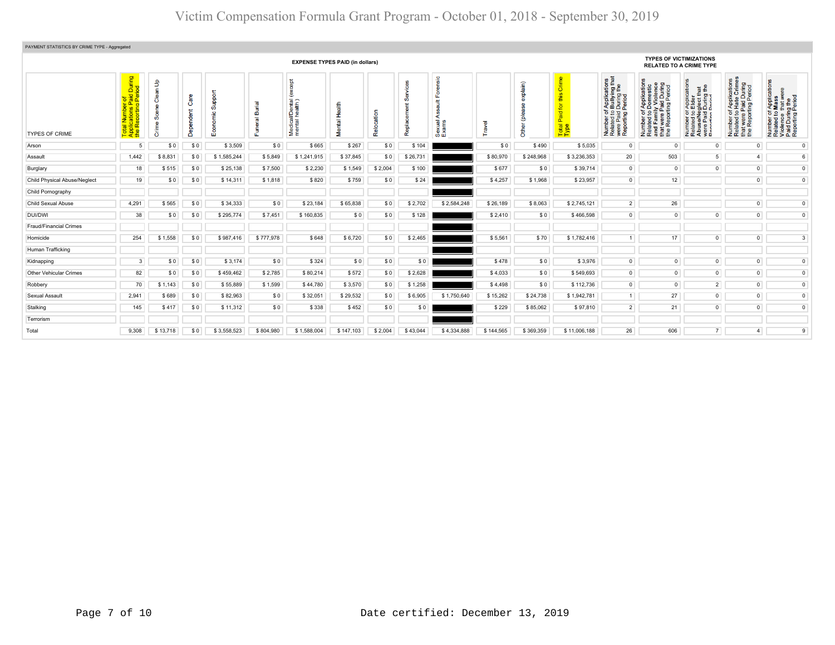| PAYMENT STATISTICS BY CRIME TYPE - Aggregated |                                                                                                                                          |                                                 |              |                                             |                                       |                                                   |                               |         |          |                      |           |           |                                                                  |                                                                                                                                                                                            |                                                                                                                             |                                                                                                                                                               |                                                                                                   |                                                                                                        |
|-----------------------------------------------|------------------------------------------------------------------------------------------------------------------------------------------|-------------------------------------------------|--------------|---------------------------------------------|---------------------------------------|---------------------------------------------------|-------------------------------|---------|----------|----------------------|-----------|-----------|------------------------------------------------------------------|--------------------------------------------------------------------------------------------------------------------------------------------------------------------------------------------|-----------------------------------------------------------------------------------------------------------------------------|---------------------------------------------------------------------------------------------------------------------------------------------------------------|---------------------------------------------------------------------------------------------------|--------------------------------------------------------------------------------------------------------|
| <b>EXPENSE TYPES PAID (in dollars)</b>        |                                                                                                                                          |                                                 |              |                                             |                                       |                                                   |                               |         |          |                      |           |           | <b>TYPES OF VICTIMIZATIONS</b><br><b>RELATED TO A CRIME TYPE</b> |                                                                                                                                                                                            |                                                                                                                             |                                                                                                                                                               |                                                                                                   |                                                                                                        |
| <b>TYPES OF CRIME</b>                         | During<br>iod<br>노 호<br>$O$ $\pi$ $\Omega$<br><u>bera</u><br>Bang<br>Num<br>Cation<br>eport<br>Rep<br>$\overline{\sigma}$<br>$rac{1}{2}$ | $\mathbf{f}$<br>듦<br>පී<br>Ō<br>$\sqrt{a}$<br>ŏ | $\circ$<br>C | pod<br>ശ്<br>$\ddot{\phantom{1}}$<br>8<br>ш | ত<br>ā<br>$\overline{a}$<br><b>II</b> | $\frac{5}{8}$<br>Medical/Dental<br>mental health) | Health<br>Mental <sup>1</sup> | 묾       | Repl     | ം<br>Sexual<br>Exams | ravel     | Ξ         | 5<br>$\omega$<br>语<br>tō<br>Paid<br>Total<br>Type                | $rac{8}{5}$ $rac{1}{5}$ $rac{1}{9}$<br>f Applicatio<br>Durliying<br>I During the<br>Period<br>ber of ,<br>red to I<br>Paid I<br>rting F<br>ទី <u>ទី</u><br>Numb<br>Relate<br>Were<br>Repor | pa<br>E<br>Isl<br>Number of Applicat<br>Related to Domest<br>and Family Violen<br>that were Paid Dur<br>the Reporting Peric | $\frac{1}{2}$<br>r Applica<br>Elder<br>glect tha<br>During t<br>Period<br>Number of <i>I</i><br>Related to <b>E</b><br>AbuseMeg<br>were Paid L<br>Renorting P | Number of Applications<br>Related to Hate Crimes<br>that were Paid During<br>the Reporting Period | Number of Applications<br>Related to Mass<br>Violence that were<br>Paid During the<br>Reporting Period |
| Arson                                         | 5 <sup>1</sup>                                                                                                                           | \$0                                             | \$0          | \$3,509                                     | \$0                                   | \$665                                             | \$267                         | \$0     | \$104    |                      | \$0       | \$490     | \$5.035                                                          | $\overline{0}$                                                                                                                                                                             | $\Omega$                                                                                                                    | $\Omega$                                                                                                                                                      | $\circ$                                                                                           | $^{\circ}$                                                                                             |
| Assault                                       | 1,442                                                                                                                                    | \$8,831                                         | \$0          | \$1,585,244                                 | \$5,849                               | \$1,241,915                                       | \$37,845                      | \$0     | \$26,731 |                      | \$80,970  | \$248,968 | \$3,236,353                                                      | 20                                                                                                                                                                                         | 503                                                                                                                         | 5 <sup>1</sup>                                                                                                                                                | $\mathbf{4}$                                                                                      | 6                                                                                                      |
| Burglary                                      | 18                                                                                                                                       | \$515                                           | \$0          | \$25,138                                    | \$7,500                               | \$2,230                                           | \$1,549                       | \$2,004 | \$100    |                      | \$677     | \$0       | \$39,714                                                         | $\Omega$                                                                                                                                                                                   | $\circ$                                                                                                                     | $\Omega$                                                                                                                                                      | $\overline{0}$                                                                                    | $\mathsf 0$                                                                                            |
| Child Physical Abuse/Neglect                  | 19                                                                                                                                       | \$0                                             | \$0          | \$14,311                                    | \$1,818                               | \$820                                             | \$759                         | \$0     | \$24     |                      | \$4,257   | \$1,968   | \$23,957                                                         | $\overline{0}$                                                                                                                                                                             | 12                                                                                                                          |                                                                                                                                                               | $\overline{0}$                                                                                    | $\overline{0}$                                                                                         |
| Child Pornography                             |                                                                                                                                          |                                                 |              |                                             |                                       |                                                   |                               |         |          |                      |           |           |                                                                  |                                                                                                                                                                                            |                                                                                                                             |                                                                                                                                                               |                                                                                                   |                                                                                                        |
| Child Sexual Abuse                            | 4,291                                                                                                                                    | \$565                                           | \$0          | \$34,333                                    | \$0                                   | \$23,184                                          | \$65,838                      | \$0     | \$2,702  | \$2,584,248          | \$26,189  | \$8,063   | \$2,745,121                                                      | $\overline{2}$                                                                                                                                                                             | 26                                                                                                                          |                                                                                                                                                               | $\overline{0}$                                                                                    | $\mathbf{0}$                                                                                           |
| DUI/DWI                                       | 38                                                                                                                                       | \$0                                             | \$0          | \$295,774                                   | \$7,451                               | \$160,835                                         | \$0                           | \$0     | \$128    |                      | \$2,410   | \$0       | \$466,598                                                        | $\Omega$                                                                                                                                                                                   | $\overline{0}$                                                                                                              | $\Omega$                                                                                                                                                      | $\overline{0}$                                                                                    | $\overline{0}$                                                                                         |
| Fraud/Financial Crimes                        |                                                                                                                                          |                                                 |              |                                             |                                       |                                                   |                               |         |          |                      |           |           |                                                                  |                                                                                                                                                                                            |                                                                                                                             |                                                                                                                                                               |                                                                                                   |                                                                                                        |
| Homicide                                      | 254                                                                                                                                      | \$1,558                                         | \$0          | \$987,416                                   | \$777,978                             | \$648                                             | \$6,720                       | \$0     | \$2,465  |                      | \$5,561   | \$70      | \$1,782,416                                                      | $\mathbf{1}$                                                                                                                                                                               | 17 <sup>17</sup>                                                                                                            | $\mathbf 0$                                                                                                                                                   | $\overline{0}$                                                                                    | $\overline{3}$                                                                                         |
| Human Trafficking                             |                                                                                                                                          |                                                 |              |                                             |                                       |                                                   |                               |         |          |                      |           |           |                                                                  |                                                                                                                                                                                            |                                                                                                                             |                                                                                                                                                               |                                                                                                   |                                                                                                        |
| Kidnapping                                    | 3 <sup>1</sup>                                                                                                                           | \$0                                             | \$0          | \$3,174                                     | \$0                                   | \$324                                             | \$0                           | \$0     | \$0      |                      | \$478     | \$0       | \$3,976                                                          | $\mathbf{0}$                                                                                                                                                                               | $\overline{0}$                                                                                                              | $\overline{0}$                                                                                                                                                | $\overline{0}$                                                                                    | $\mathbf{0}$                                                                                           |
| Other Vehicular Crimes                        | 82                                                                                                                                       | \$0                                             | \$0          | \$459,462                                   | \$2,785                               | \$80,214                                          | \$572                         | \$0     | \$2,628  |                      | \$4,033   | \$0       | \$549,693                                                        | $\mathbf 0$                                                                                                                                                                                | $\overline{0}$                                                                                                              | $\overline{0}$                                                                                                                                                | $\overline{0}$                                                                                    | $\mathsf 0$                                                                                            |
| Robbery                                       | 70                                                                                                                                       | \$1,143                                         | \$0          | \$55,889                                    | \$1,599                               | \$44,780                                          | \$3,570                       | \$0     | \$1,258  |                      | \$4,498   | \$0       | \$112,736                                                        | $\overline{0}$                                                                                                                                                                             | $\overline{0}$                                                                                                              | 2 <sup>1</sup>                                                                                                                                                | $\overline{0}$                                                                                    | $\overline{0}$                                                                                         |
| Sexual Assault                                | 2,941                                                                                                                                    | \$689                                           | \$0          | \$82,963                                    | \$0                                   | \$32,051                                          | \$29,532                      | \$0     | \$6,905  | \$1,750,640          | \$15,262  | \$24,738  | \$1,942,781                                                      | $\mathbf{1}$                                                                                                                                                                               | 27                                                                                                                          | $\circ$                                                                                                                                                       | $\overline{0}$                                                                                    | $\mathsf 0$                                                                                            |
| Stalking                                      | 145                                                                                                                                      | \$417                                           | \$0          | \$11,312                                    | \$0                                   | \$338                                             | \$452                         | \$0     | \$0      |                      | \$229     | \$85,062  | \$97,810                                                         | $\overline{2}$                                                                                                                                                                             | 21                                                                                                                          | $\overline{0}$                                                                                                                                                | $\overline{0}$                                                                                    | $\circ$                                                                                                |
| Terrorism                                     |                                                                                                                                          |                                                 |              |                                             |                                       |                                                   |                               |         |          |                      |           |           |                                                                  |                                                                                                                                                                                            |                                                                                                                             |                                                                                                                                                               |                                                                                                   |                                                                                                        |
| Total                                         | 9,308                                                                                                                                    | \$13,718                                        | \$0          | \$3,558,523                                 | \$804,980                             | \$1,588,004                                       | \$147,103                     | \$2,004 | \$43,044 | \$4,334,888          | \$144,565 | \$369,359 | \$11,006,188                                                     | 26                                                                                                                                                                                         | 606                                                                                                                         | 7                                                                                                                                                             | $\overline{a}$                                                                                    | 9                                                                                                      |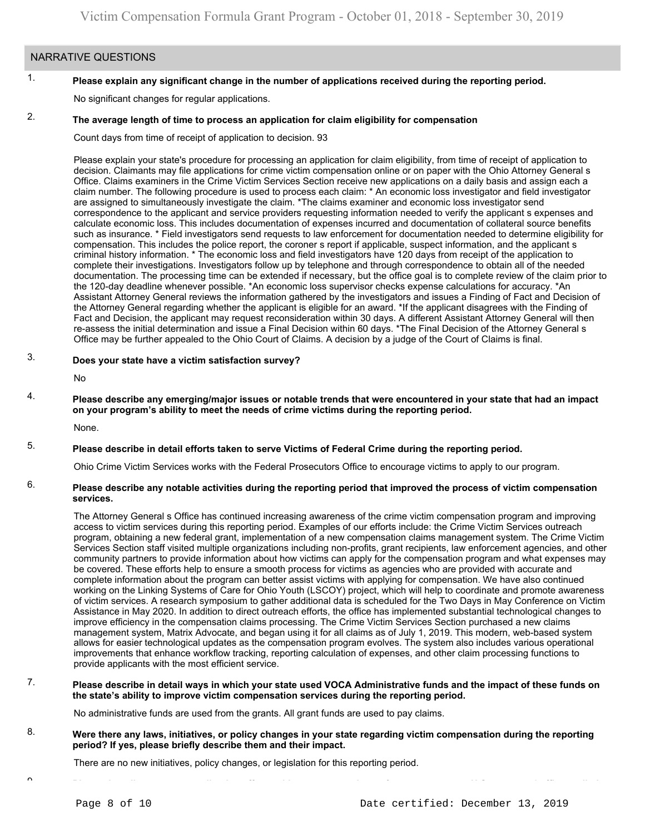# NARRATIVE QUESTIONS

#### 1. **Please explain any significant change in the number of applications received during the reporting period.**

No significant changes for regular applications.

#### 2. **The average length of time to process an application for claim eligibility for compensation**

Count days from time of receipt of application to decision. 93

Please explain your state's procedure for processing an application for claim eligibility, from time of receipt of application to decision. Claimants may file applications for crime victim compensation online or on paper with the Ohio Attorney General s Office. Claims examiners in the Crime Victim Services Section receive new applications on a daily basis and assign each a claim number. The following procedure is used to process each claim: \* An economic loss investigator and field investigator are assigned to simultaneously investigate the claim. \*The claims examiner and economic loss investigator send correspondence to the applicant and service providers requesting information needed to verify the applicant s expenses and calculate economic loss. This includes documentation of expenses incurred and documentation of collateral source benefits such as insurance. \* Field investigators send requests to law enforcement for documentation needed to determine eligibility for compensation. This includes the police report, the coroner s report if applicable, suspect information, and the applicant s criminal history information. \* The economic loss and field investigators have 120 days from receipt of the application to complete their investigations. Investigators follow up by telephone and through correspondence to obtain all of the needed documentation. The processing time can be extended if necessary, but the office goal is to complete review of the claim prior to the 120-day deadline whenever possible. \*An economic loss supervisor checks expense calculations for accuracy. \*An Assistant Attorney General reviews the information gathered by the investigators and issues a Finding of Fact and Decision of the Attorney General regarding whether the applicant is eligible for an award. \*If the applicant disagrees with the Finding of Fact and Decision, the applicant may request reconsideration within 30 days. A different Assistant Attorney General will then re-assess the initial determination and issue a Final Decision within 60 days. \*The Final Decision of the Attorney General s Office may be further appealed to the Ohio Court of Claims. A decision by a judge of the Court of Claims is final.

#### 3. **Does your state have a victim satisfaction survey?**

No

4. **Please describe any emerging/major issues or notable trends that were encountered in your state that had an impact on your program's ability to meet the needs of crime victims during the reporting period.**

None.

#### 5. **Please describe in detail efforts taken to serve Victims of Federal Crime during the reporting period.**

Ohio Crime Victim Services works with the Federal Prosecutors Office to encourage victims to apply to our program.

#### 6. **Please describe any notable activities during the reporting period that improved the process of victim compensation services.**

The Attorney General s Office has continued increasing awareness of the crime victim compensation program and improving access to victim services during this reporting period. Examples of our efforts include: the Crime Victim Services outreach program, obtaining a new federal grant, implementation of a new compensation claims management system. The Crime Victim Services Section staff visited multiple organizations including non-profits, grant recipients, law enforcement agencies, and other community partners to provide information about how victims can apply for the compensation program and what expenses may be covered. These efforts help to ensure a smooth process for victims as agencies who are provided with accurate and complete information about the program can better assist victims with applying for compensation. We have also continued working on the Linking Systems of Care for Ohio Youth (LSCOY) project, which will help to coordinate and promote awareness of victim services. A research symposium to gather additional data is scheduled for the Two Days in May Conference on Victim Assistance in May 2020. In addition to direct outreach efforts, the office has implemented substantial technological changes to improve efficiency in the compensation claims processing. The Crime Victim Services Section purchased a new claims management system, Matrix Advocate, and began using it for all claims as of July 1, 2019. This modern, web-based system allows for easier technological updates as the compensation program evolves. The system also includes various operational improvements that enhance workflow tracking, reporting calculation of expenses, and other claim processing functions to provide applicants with the most efficient service.

#### 7. **Please describe in detail ways in which your state used VOCA Administrative funds and the impact of these funds on the state's ability to improve victim compensation services during the reporting period.**

No administrative funds are used from the grants. All grant funds are used to pay claims.

8. **Were there any laws, initiatives, or policy changes in your state regarding victim compensation during the reporting period? If yes, please briefly describe them and their impact.**

There are no new initiatives, policy changes, or legislation for this reporting period.

 $^{\circ}$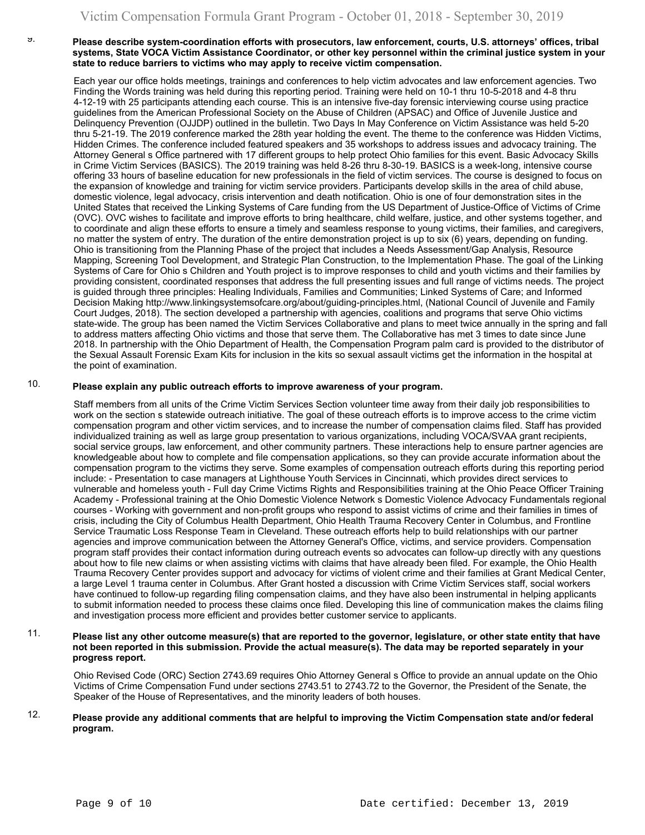### **Please describe system-coordination efforts with prosecutors, law enforcement, courts, U.S. attorneys' offices, tribal systems, State VOCA Victim Assistance Coordinator, or other key personnel within the criminal justice system in your state to reduce barriers to victims who may apply to receive victim compensation.**

Each year our office holds meetings, trainings and conferences to help victim advocates and law enforcement agencies. Two Finding the Words training was held during this reporting period. Training were held on 10-1 thru 10-5-2018 and 4-8 thru 4-12-19 with 25 participants attending each course. This is an intensive five-day forensic interviewing course using practice guidelines from the American Professional Society on the Abuse of Children (APSAC) and Office of Juvenile Justice and Delinquency Prevention (OJJDP) outlined in the bulletin. Two Days In May Conference on Victim Assistance was held 5-20 thru 5-21-19. The 2019 conference marked the 28th year holding the event. The theme to the conference was Hidden Victims, Hidden Crimes. The conference included featured speakers and 35 workshops to address issues and advocacy training. The Attorney General s Office partnered with 17 different groups to help protect Ohio families for this event. Basic Advocacy Skills in Crime Victim Services (BASICS). The 2019 training was held 8-26 thru 8-30-19. BASICS is a week-long, intensive course offering 33 hours of baseline education for new professionals in the field of victim services. The course is designed to focus on the expansion of knowledge and training for victim service providers. Participants develop skills in the area of child abuse, domestic violence, legal advocacy, crisis intervention and death notification. Ohio is one of four demonstration sites in the United States that received the Linking Systems of Care funding from the US Department of Justice-Office of Victims of Crime (OVC). OVC wishes to facilitate and improve efforts to bring healthcare, child welfare, justice, and other systems together, and to coordinate and align these efforts to ensure a timely and seamless response to young victims, their families, and caregivers, no matter the system of entry. The duration of the entire demonstration project is up to six (6) years, depending on funding. Ohio is transitioning from the Planning Phase of the project that includes a Needs Assessment/Gap Analysis, Resource Mapping, Screening Tool Development, and Strategic Plan Construction, to the Implementation Phase. The goal of the Linking Systems of Care for Ohio s Children and Youth project is to improve responses to child and youth victims and their families by providing consistent, coordinated responses that address the full presenting issues and full range of victims needs. The project is guided through three principles: Healing Individuals, Families and Communities; Linked Systems of Care; and Informed Decision Making<http://www.linkingsystemsofcare.org/about/guiding-principles.html>, (National Council of Juvenile and Family Court Judges, 2018). The section developed a partnership with agencies, coalitions and programs that serve Ohio victims state-wide. The group has been named the Victim Services Collaborative and plans to meet twice annually in the spring and fall to address matters affecting Ohio victims and those that serve them. The Collaborative has met 3 times to date since June 2018. In partnership with the Ohio Department of Health, the Compensation Program palm card is provided to the distributor of the Sexual Assault Forensic Exam Kits for inclusion in the kits so sexual assault victims get the information in the hospital at the point of examination.

#### 10. **Please explain any public outreach efforts to improve awareness of your program.**

Staff members from all units of the Crime Victim Services Section volunteer time away from their daily job responsibilities to work on the section s statewide outreach initiative. The goal of these outreach efforts is to improve access to the crime victim compensation program and other victim services, and to increase the number of compensation claims filed. Staff has provided individualized training as well as large group presentation to various organizations, including VOCA/SVAA grant recipients, social service groups, law enforcement, and other community partners. These interactions help to ensure partner agencies are knowledgeable about how to complete and file compensation applications, so they can provide accurate information about the compensation program to the victims they serve. Some examples of compensation outreach efforts during this reporting period include: - Presentation to case managers at Lighthouse Youth Services in Cincinnati, which provides direct services to vulnerable and homeless youth - Full day Crime Victims Rights and Responsibilities training at the Ohio Peace Officer Training Academy - Professional training at the Ohio Domestic Violence Network s Domestic Violence Advocacy Fundamentals regional courses - Working with government and non-profit groups who respond to assist victims of crime and their families in times of crisis, including the City of Columbus Health Department, Ohio Health Trauma Recovery Center in Columbus, and Frontline Service Traumatic Loss Response Team in Cleveland. These outreach efforts help to build relationships with our partner agencies and improve communication between the Attorney General's Office, victims, and service providers. Compensation program staff provides their contact information during outreach events so advocates can follow-up directly with any questions about how to file new claims or when assisting victims with claims that have already been filed. For example, the Ohio Health Trauma Recovery Center provides support and advocacy for victims of violent crime and their families at Grant Medical Center, a large Level 1 trauma center in Columbus. After Grant hosted a discussion with Crime Victim Services staff, social workers have continued to follow-up regarding filing compensation claims, and they have also been instrumental in helping applicants to submit information needed to process these claims once filed. Developing this line of communication makes the claims filing and investigation process more efficient and provides better customer service to applicants.

### 11. **Please list any other outcome measure(s) that are reported to the governor, legislature, or other state entity that have not been reported in this submission. Provide the actual measure(s). The data may be reported separately in your progress report.**

Ohio Revised Code (ORC) Section 2743.69 requires Ohio Attorney General s Office to provide an annual update on the Ohio Victims of Crime Compensation Fund under sections 2743.51 to 2743.72 to the Governor, the President of the Senate, the Speaker of the House of Representatives, and the minority leaders of both houses.

#### 12. **Please provide any additional comments that are helpful to improving the Victim Compensation state and/or federal program.**